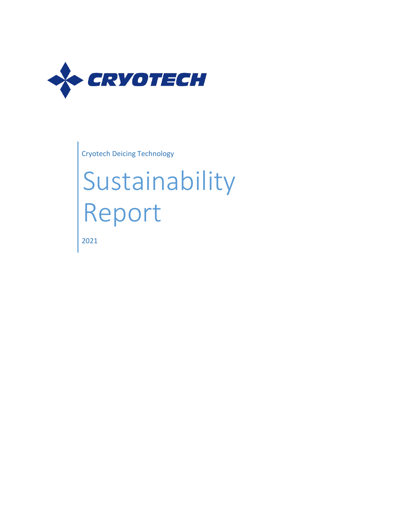

Cryotech Deicing Technology

# Sustainability Report

2021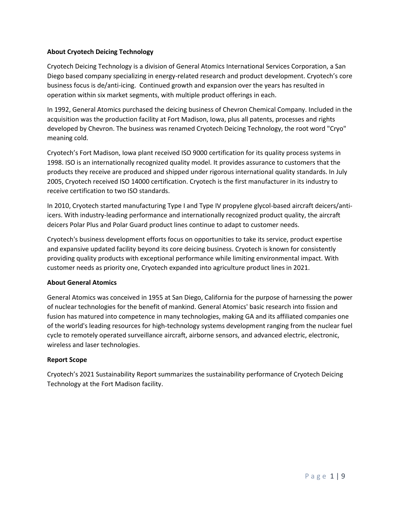#### **About Cryotech Deicing Technology**

Cryotech Deicing Technology is a division of General Atomics International Services Corporation, a San Diego based company specializing in energy-related research and product development. Cryotech's core business focus is de/anti-icing. Continued growth and expansion over the years has resulted in operation within six market segments, with multiple product offerings in each.

In 1992, General Atomics purchased the deicing business of Chevron Chemical Company. Included in the acquisition was the production facility at Fort Madison, Iowa, plus all patents, processes and rights developed by Chevron. The business was renamed Cryotech Deicing Technology, the root word "Cryo" meaning cold.

Cryotech's Fort Madison, Iowa plant received ISO 9000 certification for its quality process systems in 1998. ISO is an internationally recognized quality model. It provides assurance to customers that the products they receive are produced and shipped under rigorous international quality standards. In July 2005, Cryotech received ISO 14000 certification. Cryotech is the first manufacturer in its industry to receive certification to two ISO standards.

In 2010, Cryotech started manufacturing Type I and Type IV propylene glycol-based aircraft deicers/antiicers. With industry-leading performance and internationally recognized product quality, the aircraft deicers Polar Plus and Polar Guard product lines continue to adapt to customer needs.

Cryotech's business development efforts focus on opportunities to take its service, product expertise and expansive updated facility beyond its core deicing business. Cryotech is known for consistently providing quality products with exceptional performance while limiting environmental impact. With customer needs as priority one, Cryotech expanded into agriculture product lines in 2021.

#### **About General Atomics**

General Atomics was conceived in 1955 at San Diego, California for the purpose of harnessing the power of nuclear technologies for the benefit of mankind. General Atomics' basic research into fission and fusion has matured into competence in many technologies, making GA and its affiliated companies one of the world's leading resources for high-technology systems development ranging from the nuclear fuel cycle to remotely operated surveillance aircraft, airborne sensors, and advanced electric, electronic, wireless and laser technologies.

#### **Report Scope**

Cryotech's 2021 Sustainability Report summarizes the sustainability performance of Cryotech Deicing Technology at the Fort Madison facility.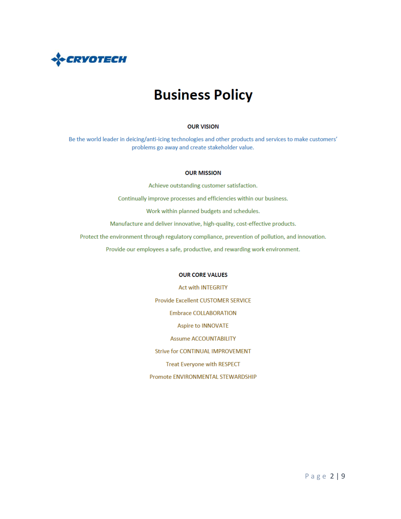

## **Business Policy**

#### **OUR VISION**

Be the world leader in deicing/anti-icing technologies and other products and services to make customers' problems go away and create stakeholder value.

#### **OUR MISSION**

Achieve outstanding customer satisfaction.

Continually improve processes and efficiencies within our business.

Work within planned budgets and schedules.

Manufacture and deliver innovative, high-quality, cost-effective products.

Protect the environment through regulatory compliance, prevention of pollution, and innovation.

Provide our employees a safe, productive, and rewarding work environment.

#### **OUR CORE VALUES**

**Act with INTEGRITY** Provide Excellent CUSTOMER SERVICE **Embrace COLLABORATION Aspire to INNOVATE Assume ACCOUNTABILITY Strive for CONTINUAL IMPROVEMENT Treat Everyone with RESPECT** Promote ENVIRONMENTAL STEWARDSHIP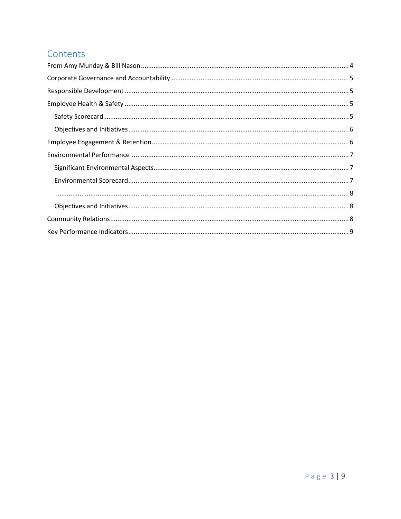## Contents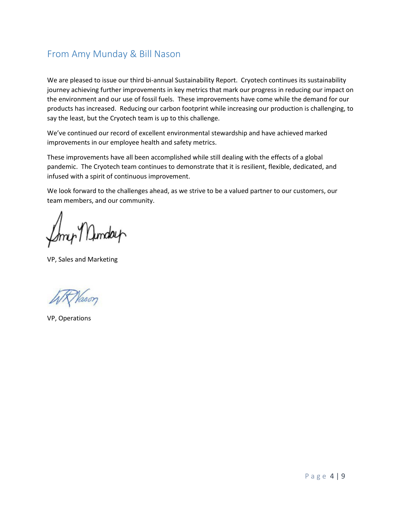## <span id="page-4-0"></span>From Amy Munday & Bill Nason

We are pleased to issue our third bi-annual Sustainability Report. Cryotech continues its sustainability journey achieving further improvements in key metrics that mark our progress in reducing our impact on the environment and our use of fossil fuels. These improvements have come while the demand for our products has increased. Reducing our carbon footprint while increasing our production is challenging, to say the least, but the Cryotech team is up to this challenge.

We've continued our record of excellent environmental stewardship and have achieved marked improvements in our employee health and safety metrics.

These improvements have all been accomplished while still dealing with the effects of a global pandemic. The Cryotech team continues to demonstrate that it is resilient, flexible, dedicated, and infused with a spirit of continuous improvement.

We look forward to the challenges ahead, as we strive to be a valued partner to our customers, our team members, and our community.

my Dunday

VP, Sales and Marketing

VP, Operations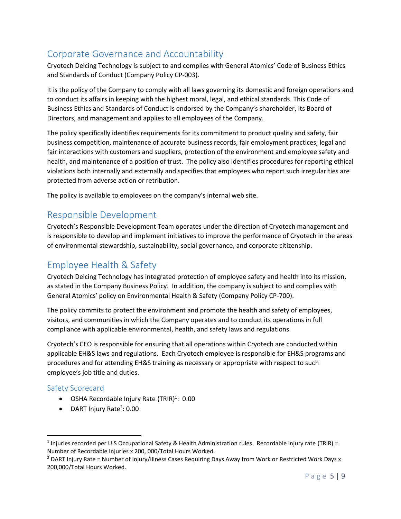## <span id="page-5-0"></span>Corporate Governance and Accountability

Cryotech Deicing Technology is subject to and complies with General Atomics' Code of Business Ethics and Standards of Conduct (Company Policy CP-003).

It is the policy of the Company to comply with all laws governing its domestic and foreign operations and to conduct its affairs in keeping with the highest moral, legal, and ethical standards. This Code of Business Ethics and Standards of Conduct is endorsed by the Company's shareholder, its Board of Directors, and management and applies to all employees of the Company.

The policy specifically identifies requirements for its commitment to product quality and safety, fair business competition, maintenance of accurate business records, fair employment practices, legal and fair interactions with customers and suppliers, protection of the environment and employee safety and health, and maintenance of a position of trust. The policy also identifies procedures for reporting ethical violations both internally and externally and specifies that employees who report such irregularities are protected from adverse action or retribution.

The policy is available to employees on the company's internal web site.

## <span id="page-5-1"></span>Responsible Development

Cryotech's Responsible Development Team operates under the direction of Cryotech management and is responsible to develop and implement initiatives to improve the performance of Cryotech in the areas of environmental stewardship, sustainability, social governance, and corporate citizenship.

## <span id="page-5-2"></span>Employee Health & Safety

Cryotech Deicing Technology has integrated protection of employee safety and health into its mission, as stated in the Company Business Policy. In addition, the company is subject to and complies with General Atomics' policy on Environmental Health & Safety (Company Policy CP-700).

The policy commits to protect the environment and promote the health and safety of employees, visitors, and communities in which the Company operates and to conduct its operations in full compliance with applicable environmental, health, and safety laws and regulations.

Cryotech's CEO is responsible for ensuring that all operations within Cryotech are conducted within applicable EH&S laws and regulations. Each Cryotech employee is responsible for EH&S programs and procedures and for attending EH&S training as necessary or appropriate with respect to such employee's job title and duties.

## <span id="page-5-3"></span>Safety Scorecard

- $\bullet$  OSHA Recordable Injury Rate (TRIR)<sup>1</sup>: 0.00
- DART Injury Rate<sup>2</sup>: 0.00

<sup>&</sup>lt;sup>1</sup> Injuries recorded per U.S Occupational Safety & Health Administration rules. Recordable injury rate (TRIR) = Number of Recordable Injuries x 200, 000/Total Hours Worked.

<sup>&</sup>lt;sup>2</sup> DART Injury Rate = Number of Injury/Illness Cases Requiring Days Away from Work or Restricted Work Days x 200,000/Total Hours Worked.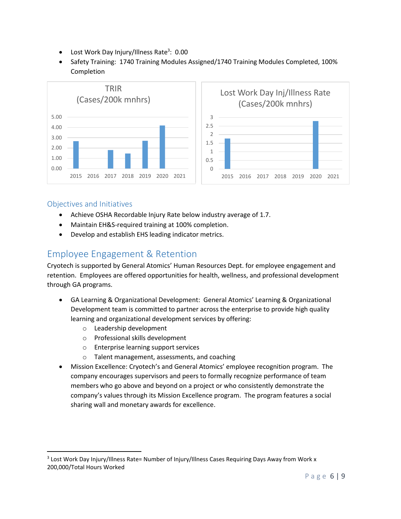- Lost Work Day Injury/Illness Rate<sup>3</sup>: 0.00
- Safety Training: 1740 Training Modules Assigned/1740 Training Modules Completed, 100% Completion



### <span id="page-6-0"></span>Objectives and Initiatives

- Achieve OSHA Recordable Injury Rate below industry average of 1.7.
- Maintain EH&S-required training at 100% completion.
- Develop and establish EHS leading indicator metrics.

## <span id="page-6-1"></span>Employee Engagement & Retention

Cryotech is supported by General Atomics' Human Resources Dept. for employee engagement and retention. Employees are offered opportunities for health, wellness, and professional development through GA programs.

- GA Learning & Organizational Development: General Atomics' Learning & Organizational Development team is committed to partner across the enterprise to provide high quality learning and organizational development services by offering:
	- o Leadership development
	- o Professional skills development
	- o Enterprise learning support services
	- o Talent management, assessments, and coaching
- Mission Excellence: Cryotech's and General Atomics' employee recognition program. The company encourages supervisors and peers to formally recognize performance of team members who go above and beyond on a project or who consistently demonstrate the company's values through its Mission Excellence program. The program features a social sharing wall and monetary awards for excellence.

<sup>&</sup>lt;sup>3</sup> Lost Work Day Injury/Illness Rate= Number of Injury/Illness Cases Requiring Days Away from Work x 200,000/Total Hours Worked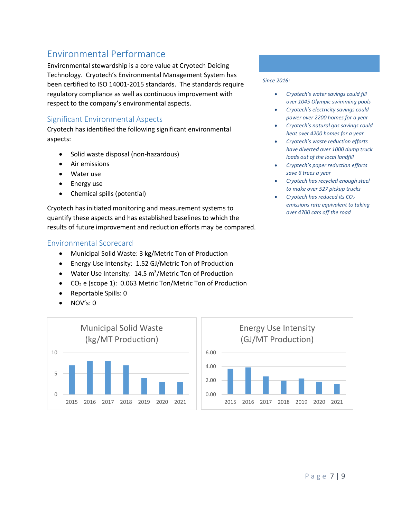## <span id="page-7-0"></span>Environmental Performance

Environmental stewardship is a core value at Cryotech Deicing Technology. Cryotech's Environmental Management System has been certified to ISO 14001-2015 standards. The standards require regulatory compliance as well as continuous improvement with respect to the company's environmental aspects.

## <span id="page-7-1"></span>Significant Environmental Aspects

Cryotech has identified the following significant environmental aspects:

- Solid waste disposal (non-hazardous)
- Air emissions
- Water use
- Energy use
- Chemical spills (potential)

Cryotech has initiated monitoring and measurement systems to quantify these aspects and has established baselines to which the results of future improvement and reduction efforts may be compared.

## <span id="page-7-2"></span>Environmental Scorecard

- Municipal Solid Waste: 3 kg/Metric Ton of Production
- Energy Use Intensity: 1.52 GJ/Metric Ton of Production
- Water Use Intensity: 14.5 m<sup>3</sup>/Metric Ton of Production
- $\bullet$  CO<sub>2</sub> e (scope 1): 0.063 Metric Ton/Metric Ton of Production
- Reportable Spills: 0
- NOV's: 0



#### *Since 2016:*

- *Cryotech's water savings could fill over 1045 Olympic swimming pools*
- *Cryotech's electricity savings could power over 2200 homes for a year*
- *Cryotech's natural gas savings could heat over 4200 homes for a year*
- *Cryotech's waste reduction efforts have diverted over 1000 dump truck loads out of the local landfill*
- *Cryptech's paper reduction efforts save 6 trees a year*
- *Cryotech has recycled enough steel to make over 527 pickup trucks*
- *Cryotech has reduced its CO<sup>2</sup> emissions rate equivalent to taking over 4700 cars off the road*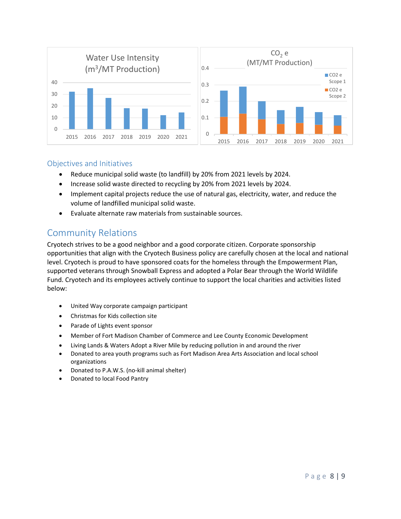

### <span id="page-8-0"></span>Objectives and Initiatives

- Reduce municipal solid waste (to landfill) by 20% from 2021 levels by 2024.
- Increase solid waste directed to recycling by 20% from 2021 levels by 2024.
- Implement capital projects reduce the use of natural gas, electricity, water, and reduce the volume of landfilled municipal solid waste.
- Evaluate alternate raw materials from sustainable sources.

## <span id="page-8-1"></span>Community Relations

Cryotech strives to be a good neighbor and a good corporate citizen. Corporate sponsorship opportunities that align with the Cryotech Business policy are carefully chosen at the local and national level. Cryotech is proud to have sponsored coats for the homeless through the Empowerment Plan, supported veterans through Snowball Express and adopted a Polar Bear through the World Wildlife Fund. Cryotech and its employees actively continue to support the local charities and activities listed below:

- United Way corporate campaign participant
- Christmas for Kids collection site
- Parade of Lights event sponsor
- Member of Fort Madison Chamber of Commerce and Lee County Economic Development
- Living Lands & Waters Adopt a River Mile by reducing pollution in and around the river
- Donated to area youth programs such as Fort Madison Area Arts Association and local school organizations
- Donated to P.A.W.S. (no-kill animal shelter)
- Donated to local Food Pantry